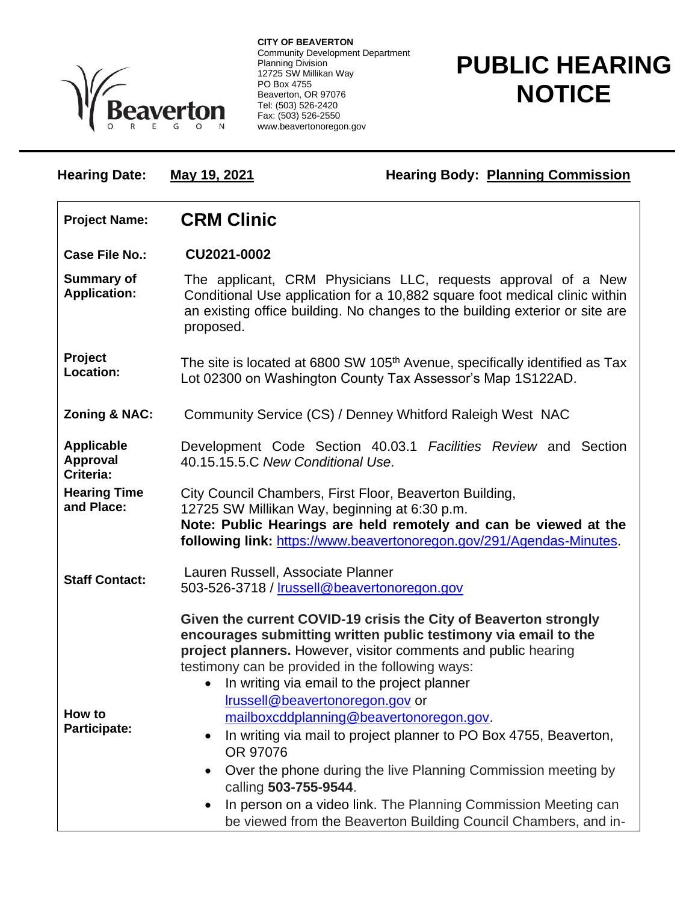

**CITY OF BEAVERTON** Community Development Department Planning Division 12725 SW Millikan Way PO Box 4755 Beaverton, OR 97076 Tel: (503) 526-2420 Fax: (503) 526-2550 www.beavertonoregon.gov

## **PUBLIC HEARING NOTICE**

| <b>Hearing Date:</b>                              | May 19, 2021                                                                                                                                                                                                                                                                                                                                                                                                                                                                                                                                                                                                                                                                                                                  | <b>Hearing Body: Planning Commission</b>                       |
|---------------------------------------------------|-------------------------------------------------------------------------------------------------------------------------------------------------------------------------------------------------------------------------------------------------------------------------------------------------------------------------------------------------------------------------------------------------------------------------------------------------------------------------------------------------------------------------------------------------------------------------------------------------------------------------------------------------------------------------------------------------------------------------------|----------------------------------------------------------------|
| <b>Project Name:</b>                              | <b>CRM Clinic</b>                                                                                                                                                                                                                                                                                                                                                                                                                                                                                                                                                                                                                                                                                                             |                                                                |
| <b>Case File No.:</b>                             | CU2021-0002                                                                                                                                                                                                                                                                                                                                                                                                                                                                                                                                                                                                                                                                                                                   |                                                                |
| <b>Summary of</b><br><b>Application:</b>          | The applicant, CRM Physicians LLC, requests approval of a New<br>Conditional Use application for a 10,882 square foot medical clinic within<br>an existing office building. No changes to the building exterior or site are<br>proposed.                                                                                                                                                                                                                                                                                                                                                                                                                                                                                      |                                                                |
| Project<br><b>Location:</b>                       | The site is located at 6800 SW 105 <sup>th</sup> Avenue, specifically identified as Tax<br>Lot 02300 on Washington County Tax Assessor's Map 1S122AD.                                                                                                                                                                                                                                                                                                                                                                                                                                                                                                                                                                         |                                                                |
| <b>Zoning &amp; NAC:</b>                          |                                                                                                                                                                                                                                                                                                                                                                                                                                                                                                                                                                                                                                                                                                                               | Community Service (CS) / Denney Whitford Raleigh West NAC      |
| <b>Applicable</b><br><b>Approval</b><br>Criteria: | 40.15.15.5.C New Conditional Use.                                                                                                                                                                                                                                                                                                                                                                                                                                                                                                                                                                                                                                                                                             | Development Code Section 40.03.1 Facilities Review and Section |
| <b>Hearing Time</b><br>and Place:                 | City Council Chambers, First Floor, Beaverton Building,<br>12725 SW Millikan Way, beginning at 6:30 p.m.<br>Note: Public Hearings are held remotely and can be viewed at the<br>following link: https://www.beavertonoregon.gov/291/Agendas-Minutes.                                                                                                                                                                                                                                                                                                                                                                                                                                                                          |                                                                |
| <b>Staff Contact:</b>                             | Lauren Russell, Associate Planner<br>503-526-3718 / Irussell@beavertonoregon.gov                                                                                                                                                                                                                                                                                                                                                                                                                                                                                                                                                                                                                                              |                                                                |
| How to<br>Participate:                            | Given the current COVID-19 crisis the City of Beaverton strongly<br>encourages submitting written public testimony via email to the<br>project planners. However, visitor comments and public hearing<br>testimony can be provided in the following ways:<br>In writing via email to the project planner<br>$\bullet$<br>Irussell@beavertonoregon.gov or<br>mailboxcddplanning@beavertonoregon.gov.<br>In writing via mail to project planner to PO Box 4755, Beaverton,<br>٠<br>OR 97076<br>Over the phone during the live Planning Commission meeting by<br>٠<br>calling 503-755-9544.<br>In person on a video link. The Planning Commission Meeting can<br>be viewed from the Beaverton Building Council Chambers, and in- |                                                                |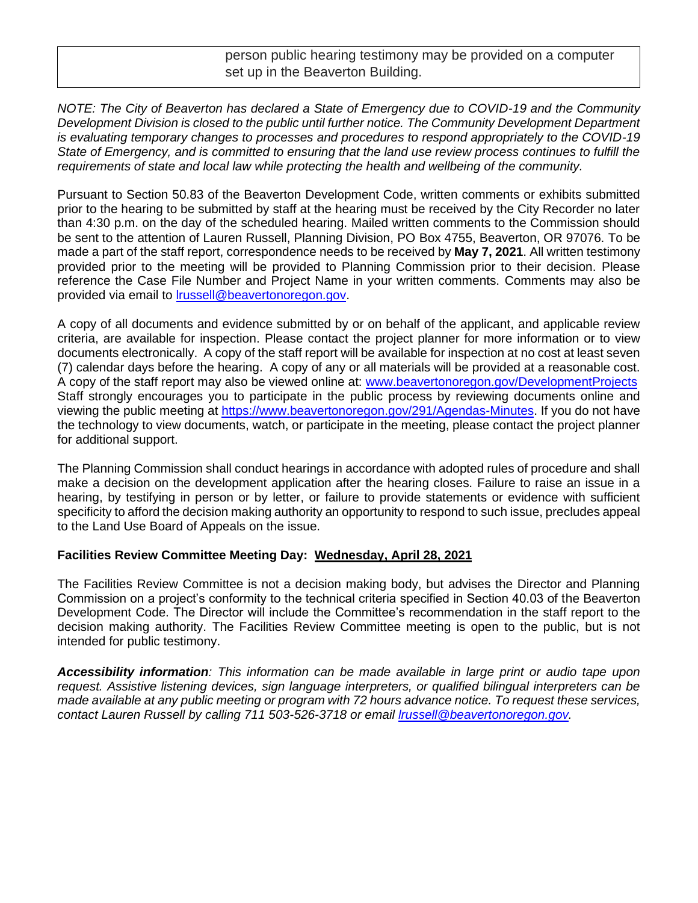person public hearing testimony may be provided on a computer set up in the Beaverton Building.

*NOTE: The City of Beaverton has declared a State of Emergency due to COVID-19 and the Community Development Division is closed to the public until further notice. The Community Development Department is evaluating temporary changes to processes and procedures to respond appropriately to the COVID-19 State of Emergency, and is committed to ensuring that the land use review process continues to fulfill the requirements of state and local law while protecting the health and wellbeing of the community.*

Pursuant to Section 50.83 of the Beaverton Development Code, written comments or exhibits submitted prior to the hearing to be submitted by staff at the hearing must be received by the City Recorder no later than 4:30 p.m. on the day of the scheduled hearing. Mailed written comments to the Commission should be sent to the attention of Lauren Russell, Planning Division, PO Box 4755, Beaverton, OR 97076. To be made a part of the staff report, correspondence needs to be received by **May 7, 2021**. All written testimony provided prior to the meeting will be provided to Planning Commission prior to their decision. Please reference the Case File Number and Project Name in your written comments. Comments may also be provided via email to [lrussell@beavertonoregon.gov.](mailto:lrussell@beavertonoregon.gov)

A copy of all documents and evidence submitted by or on behalf of the applicant, and applicable review criteria, are available for inspection. Please contact the project planner for more information or to view documents electronically. A copy of the staff report will be available for inspection at no cost at least seven (7) calendar days before the hearing. A copy of any or all materials will be provided at a reasonable cost. A copy of the staff report may also be viewed online at: [www.beavertonoregon.gov/DevelopmentProjects](http://www.beavertonoregon.gov/DevelopmentProjects) Staff strongly encourages you to participate in the public process by reviewing documents online and viewing the public meeting at [https://www.beavertonoregon.gov/291/Agendas-Minutes.](https://www.beavertonoregon.gov/291/Agendas-Minutes) If you do not have the technology to view documents, watch, or participate in the meeting, please contact the project planner for additional support.

The Planning Commission shall conduct hearings in accordance with adopted rules of procedure and shall make a decision on the development application after the hearing closes. Failure to raise an issue in a hearing, by testifying in person or by letter, or failure to provide statements or evidence with sufficient specificity to afford the decision making authority an opportunity to respond to such issue, precludes appeal to the Land Use Board of Appeals on the issue.

## **Facilities Review Committee Meeting Day: Wednesday, April 28, 2021**

The Facilities Review Committee is not a decision making body, but advises the Director and Planning Commission on a project's conformity to the technical criteria specified in Section 40.03 of the Beaverton Development Code. The Director will include the Committee's recommendation in the staff report to the decision making authority. The Facilities Review Committee meeting is open to the public, but is not intended for public testimony.

*Accessibility information: This information can be made available in large print or audio tape upon request. Assistive listening devices, sign language interpreters, or qualified bilingual interpreters can be made available at any public meeting or program with 72 hours advance notice. To request these services, contact Lauren Russell by calling 711 503-526-3718 or email [lrussell@beavertonoregon.gov.](mailto:lrussell@beavertonoregon.gov)*